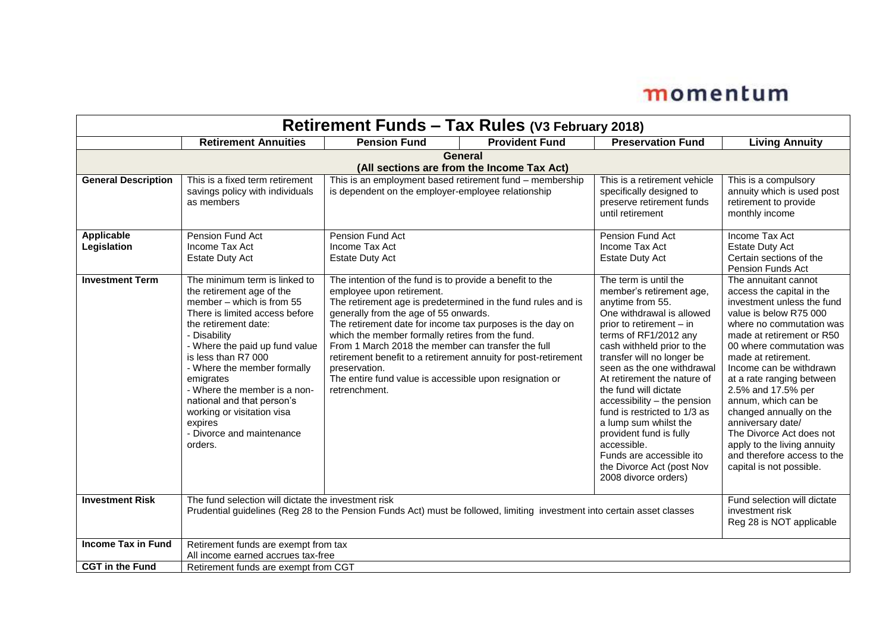| Retirement Funds - Tax Rules (V3 February 2018)              |                                                                                                                                                                                                                                                                                                                                                                                                                       |                                                                                                                                                                                                                                                                                                                                                                                                                                                                                                                                      |                       |                                                                                                                                                                                                                                                                                                                                                                                                                                                                                                                              |                                                                                                                                                                                                                                                                                                                                                                                                                                                                                                  |  |
|--------------------------------------------------------------|-----------------------------------------------------------------------------------------------------------------------------------------------------------------------------------------------------------------------------------------------------------------------------------------------------------------------------------------------------------------------------------------------------------------------|--------------------------------------------------------------------------------------------------------------------------------------------------------------------------------------------------------------------------------------------------------------------------------------------------------------------------------------------------------------------------------------------------------------------------------------------------------------------------------------------------------------------------------------|-----------------------|------------------------------------------------------------------------------------------------------------------------------------------------------------------------------------------------------------------------------------------------------------------------------------------------------------------------------------------------------------------------------------------------------------------------------------------------------------------------------------------------------------------------------|--------------------------------------------------------------------------------------------------------------------------------------------------------------------------------------------------------------------------------------------------------------------------------------------------------------------------------------------------------------------------------------------------------------------------------------------------------------------------------------------------|--|
|                                                              | <b>Retirement Annuities</b>                                                                                                                                                                                                                                                                                                                                                                                           | <b>Pension Fund</b>                                                                                                                                                                                                                                                                                                                                                                                                                                                                                                                  | <b>Provident Fund</b> | <b>Preservation Fund</b>                                                                                                                                                                                                                                                                                                                                                                                                                                                                                                     | <b>Living Annuity</b>                                                                                                                                                                                                                                                                                                                                                                                                                                                                            |  |
| <b>General</b><br>(All sections are from the Income Tax Act) |                                                                                                                                                                                                                                                                                                                                                                                                                       |                                                                                                                                                                                                                                                                                                                                                                                                                                                                                                                                      |                       |                                                                                                                                                                                                                                                                                                                                                                                                                                                                                                                              |                                                                                                                                                                                                                                                                                                                                                                                                                                                                                                  |  |
| <b>General Description</b>                                   | This is a fixed term retirement<br>savings policy with individuals<br>as members                                                                                                                                                                                                                                                                                                                                      | This is an employment based retirement fund - membership<br>is dependent on the employer-employee relationship                                                                                                                                                                                                                                                                                                                                                                                                                       |                       | This is a retirement vehicle<br>specifically designed to<br>preserve retirement funds<br>until retirement                                                                                                                                                                                                                                                                                                                                                                                                                    | This is a compulsory<br>annuity which is used post<br>retirement to provide<br>monthly income                                                                                                                                                                                                                                                                                                                                                                                                    |  |
| Applicable<br>Legislation                                    | Pension Fund Act<br>Income Tax Act<br><b>Estate Duty Act</b>                                                                                                                                                                                                                                                                                                                                                          | Pension Fund Act<br>Income Tax Act<br><b>Estate Duty Act</b>                                                                                                                                                                                                                                                                                                                                                                                                                                                                         |                       | Pension Fund Act<br>Income Tax Act<br><b>Estate Duty Act</b>                                                                                                                                                                                                                                                                                                                                                                                                                                                                 | Income Tax Act<br><b>Estate Duty Act</b><br>Certain sections of the<br>Pension Funds Act                                                                                                                                                                                                                                                                                                                                                                                                         |  |
| <b>Investment Term</b>                                       | The minimum term is linked to<br>the retirement age of the<br>member - which is from 55<br>There is limited access before<br>the retirement date:<br>- Disability<br>- Where the paid up fund value<br>is less than R7 000<br>- Where the member formally<br>emigrates<br>- Where the member is a non-<br>national and that person's<br>working or visitation visa<br>expires<br>- Divorce and maintenance<br>orders. | The intention of the fund is to provide a benefit to the<br>employee upon retirement.<br>The retirement age is predetermined in the fund rules and is<br>generally from the age of 55 onwards.<br>The retirement date for income tax purposes is the day on<br>which the member formally retires from the fund.<br>From 1 March 2018 the member can transfer the full<br>retirement benefit to a retirement annuity for post-retirement<br>preservation.<br>The entire fund value is accessible upon resignation or<br>retrenchment. |                       | The term is until the<br>member's retirement age,<br>anytime from 55.<br>One withdrawal is allowed<br>prior to retirement - in<br>terms of RF1/2012 any<br>cash withheld prior to the<br>transfer will no longer be<br>seen as the one withdrawal<br>At retirement the nature of<br>the fund will dictate<br>accessibility - the pension<br>fund is restricted to 1/3 as<br>a lump sum whilst the<br>provident fund is fully<br>accessible.<br>Funds are accessible ito<br>the Divorce Act (post Nov<br>2008 divorce orders) | The annuitant cannot<br>access the capital in the<br>investment unless the fund<br>value is below R75 000<br>where no commutation was<br>made at retirement or R50<br>00 where commutation was<br>made at retirement.<br>Income can be withdrawn<br>at a rate ranging between<br>2.5% and 17.5% per<br>annum, which can be<br>changed annually on the<br>anniversary date/<br>The Divorce Act does not<br>apply to the living annuity<br>and therefore access to the<br>capital is not possible. |  |
| <b>Investment Risk</b>                                       | The fund selection will dictate the investment risk<br>Fund selection will dictate<br>Prudential guidelines (Reg 28 to the Pension Funds Act) must be followed, limiting investment into certain asset classes<br>investment risk<br>Reg 28 is NOT applicable                                                                                                                                                         |                                                                                                                                                                                                                                                                                                                                                                                                                                                                                                                                      |                       |                                                                                                                                                                                                                                                                                                                                                                                                                                                                                                                              |                                                                                                                                                                                                                                                                                                                                                                                                                                                                                                  |  |
| <b>Income Tax in Fund</b>                                    | Retirement funds are exempt from tax<br>All income earned accrues tax-free                                                                                                                                                                                                                                                                                                                                            |                                                                                                                                                                                                                                                                                                                                                                                                                                                                                                                                      |                       |                                                                                                                                                                                                                                                                                                                                                                                                                                                                                                                              |                                                                                                                                                                                                                                                                                                                                                                                                                                                                                                  |  |
| <b>CGT</b> in the Fund                                       | Retirement funds are exempt from CGT                                                                                                                                                                                                                                                                                                                                                                                  |                                                                                                                                                                                                                                                                                                                                                                                                                                                                                                                                      |                       |                                                                                                                                                                                                                                                                                                                                                                                                                                                                                                                              |                                                                                                                                                                                                                                                                                                                                                                                                                                                                                                  |  |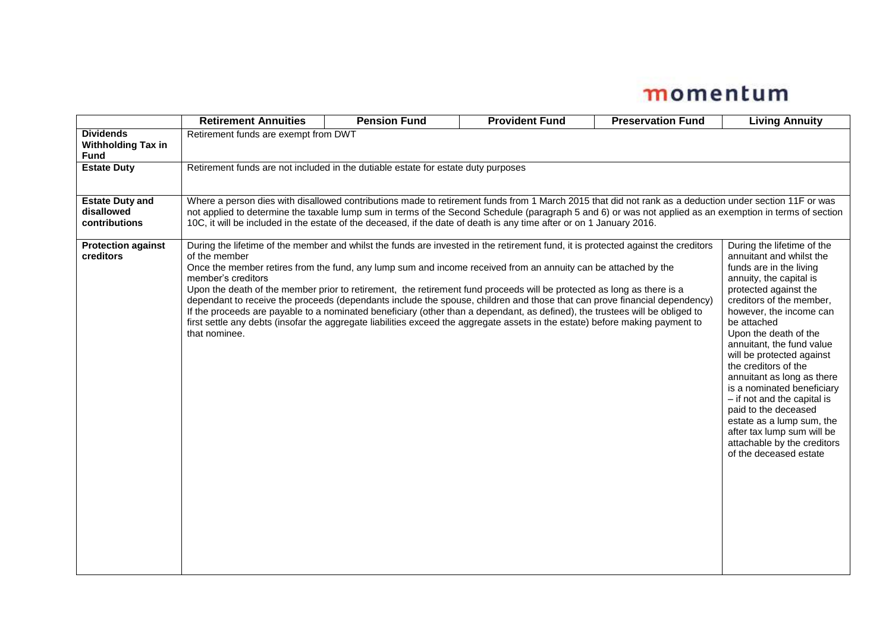|                                                              | <b>Retirement Annuities</b>                                                                                                                                                                                                                                                                                                                                                                                                                                                                                                                                                                                                                                                                                                                                                                                                         | <b>Pension Fund</b> | <b>Provident Fund</b> | <b>Preservation Fund</b> | <b>Living Annuity</b>                                                                                                                                                                                                                                                                                                                                                                                                                                                                                                                                         |  |
|--------------------------------------------------------------|-------------------------------------------------------------------------------------------------------------------------------------------------------------------------------------------------------------------------------------------------------------------------------------------------------------------------------------------------------------------------------------------------------------------------------------------------------------------------------------------------------------------------------------------------------------------------------------------------------------------------------------------------------------------------------------------------------------------------------------------------------------------------------------------------------------------------------------|---------------------|-----------------------|--------------------------|---------------------------------------------------------------------------------------------------------------------------------------------------------------------------------------------------------------------------------------------------------------------------------------------------------------------------------------------------------------------------------------------------------------------------------------------------------------------------------------------------------------------------------------------------------------|--|
| <b>Dividends</b><br><b>Withholding Tax in</b><br><b>Fund</b> | Retirement funds are exempt from DWT                                                                                                                                                                                                                                                                                                                                                                                                                                                                                                                                                                                                                                                                                                                                                                                                |                     |                       |                          |                                                                                                                                                                                                                                                                                                                                                                                                                                                                                                                                                               |  |
| <b>Estate Duty</b>                                           | Retirement funds are not included in the dutiable estate for estate duty purposes                                                                                                                                                                                                                                                                                                                                                                                                                                                                                                                                                                                                                                                                                                                                                   |                     |                       |                          |                                                                                                                                                                                                                                                                                                                                                                                                                                                                                                                                                               |  |
| <b>Estate Duty and</b><br>disallowed<br>contributions        | Where a person dies with disallowed contributions made to retirement funds from 1 March 2015 that did not rank as a deduction under section 11F or was<br>not applied to determine the taxable lump sum in terms of the Second Schedule (paragraph 5 and 6) or was not applied as an exemption in terms of section<br>10C, it will be included in the estate of the deceased, if the date of death is any time after or on 1 January 2016.                                                                                                                                                                                                                                                                                                                                                                                          |                     |                       |                          |                                                                                                                                                                                                                                                                                                                                                                                                                                                                                                                                                               |  |
| <b>Protection against</b><br>creditors                       | During the lifetime of the member and whilst the funds are invested in the retirement fund, it is protected against the creditors<br>of the member<br>Once the member retires from the fund, any lump sum and income received from an annuity can be attached by the<br>member's creditors<br>Upon the death of the member prior to retirement, the retirement fund proceeds will be protected as long as there is a<br>dependant to receive the proceeds (dependants include the spouse, children and those that can prove financial dependency)<br>If the proceeds are payable to a nominated beneficiary (other than a dependant, as defined), the trustees will be obliged to<br>first settle any debts (insofar the aggregate liabilities exceed the aggregate assets in the estate) before making payment to<br>that nominee. |                     |                       |                          | During the lifetime of the<br>annuitant and whilst the<br>funds are in the living<br>annuity, the capital is<br>protected against the<br>creditors of the member,<br>however, the income can<br>be attached<br>Upon the death of the<br>annuitant, the fund value<br>will be protected against<br>the creditors of the<br>annuitant as long as there<br>is a nominated beneficiary<br>- if not and the capital is<br>paid to the deceased<br>estate as a lump sum, the<br>after tax lump sum will be<br>attachable by the creditors<br>of the deceased estate |  |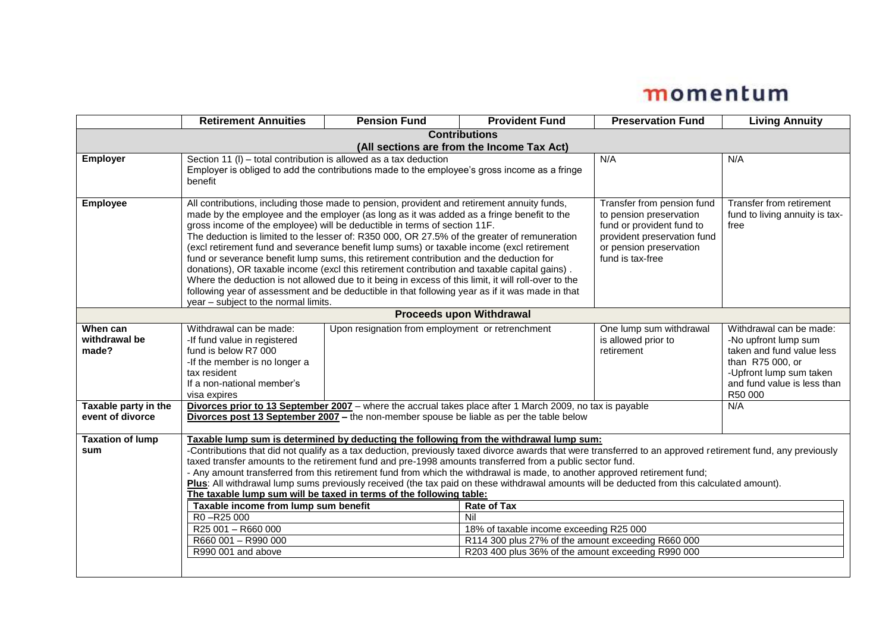|                         | <b>Retirement Annuities</b>                                                                                                                                                                                                             | <b>Pension Fund</b>                                                                                                                                                                                      | <b>Provident Fund</b>                   | <b>Preservation Fund</b>                             | <b>Living Annuity</b>                             |  |  |
|-------------------------|-----------------------------------------------------------------------------------------------------------------------------------------------------------------------------------------------------------------------------------------|----------------------------------------------------------------------------------------------------------------------------------------------------------------------------------------------------------|-----------------------------------------|------------------------------------------------------|---------------------------------------------------|--|--|
| <b>Contributions</b>    |                                                                                                                                                                                                                                         |                                                                                                                                                                                                          |                                         |                                                      |                                                   |  |  |
|                         | (All sections are from the Income Tax Act)                                                                                                                                                                                              |                                                                                                                                                                                                          |                                         |                                                      |                                                   |  |  |
| <b>Employer</b>         | Section 11 (I) – total contribution is allowed as a tax deduction<br>Employer is obliged to add the contributions made to the employee's gross income as a fringe                                                                       |                                                                                                                                                                                                          |                                         | N/A                                                  | N/A                                               |  |  |
|                         | benefit                                                                                                                                                                                                                                 |                                                                                                                                                                                                          |                                         |                                                      |                                                   |  |  |
|                         |                                                                                                                                                                                                                                         |                                                                                                                                                                                                          |                                         |                                                      |                                                   |  |  |
| <b>Employee</b>         | All contributions, including those made to pension, provident and retirement annuity funds,                                                                                                                                             |                                                                                                                                                                                                          |                                         | Transfer from pension fund                           | Transfer from retirement                          |  |  |
|                         | made by the employee and the employer (as long as it was added as a fringe benefit to the                                                                                                                                               |                                                                                                                                                                                                          |                                         | to pension preservation<br>fund or provident fund to | fund to living annuity is tax-<br>free            |  |  |
|                         |                                                                                                                                                                                                                                         | gross income of the employee) will be deductible in terms of section 11F.<br>The deduction is limited to the lesser of: R350 000, OR 27.5% of the greater of remuneration<br>provident preservation fund |                                         |                                                      |                                                   |  |  |
|                         | (excl retirement fund and severance benefit lump sums) or taxable income (excl retirement<br>or pension preservation                                                                                                                    |                                                                                                                                                                                                          |                                         |                                                      |                                                   |  |  |
|                         | fund or severance benefit lump sums, this retirement contribution and the deduction for<br>fund is tax-free                                                                                                                             |                                                                                                                                                                                                          |                                         |                                                      |                                                   |  |  |
|                         | donations), OR taxable income (excl this retirement contribution and taxable capital gains).<br>Where the deduction is not allowed due to it being in excess of this limit, it will roll-over to the                                    |                                                                                                                                                                                                          |                                         |                                                      |                                                   |  |  |
|                         | following year of assessment and be deductible in that following year as if it was made in that                                                                                                                                         |                                                                                                                                                                                                          |                                         |                                                      |                                                   |  |  |
|                         | year - subject to the normal limits.                                                                                                                                                                                                    |                                                                                                                                                                                                          |                                         |                                                      |                                                   |  |  |
|                         |                                                                                                                                                                                                                                         |                                                                                                                                                                                                          | <b>Proceeds upon Withdrawal</b>         |                                                      |                                                   |  |  |
| When can                | Withdrawal can be made:                                                                                                                                                                                                                 | Upon resignation from employment or retrenchment                                                                                                                                                         |                                         | One lump sum withdrawal                              | Withdrawal can be made:                           |  |  |
| withdrawal be<br>made?  | -If fund value in registered<br>fund is below R7 000                                                                                                                                                                                    |                                                                                                                                                                                                          |                                         | is allowed prior to<br>retirement                    | -No upfront lump sum<br>taken and fund value less |  |  |
|                         | -If the member is no longer a                                                                                                                                                                                                           |                                                                                                                                                                                                          |                                         |                                                      | than R75 000, or                                  |  |  |
|                         | tax resident                                                                                                                                                                                                                            |                                                                                                                                                                                                          |                                         |                                                      | -Upfront lump sum taken                           |  |  |
|                         | If a non-national member's                                                                                                                                                                                                              |                                                                                                                                                                                                          |                                         |                                                      | and fund value is less than                       |  |  |
| Taxable party in the    | visa expires                                                                                                                                                                                                                            |                                                                                                                                                                                                          |                                         |                                                      | R50 000<br>N/A                                    |  |  |
| event of divorce        | Divorces prior to 13 September 2007 - where the accrual takes place after 1 March 2009, no tax is payable<br>Divorces post 13 September 2007 - the non-member spouse be liable as per the table below                                   |                                                                                                                                                                                                          |                                         |                                                      |                                                   |  |  |
|                         |                                                                                                                                                                                                                                         |                                                                                                                                                                                                          |                                         |                                                      |                                                   |  |  |
| <b>Taxation of lump</b> | Taxable lump sum is determined by deducting the following from the withdrawal lump sum:                                                                                                                                                 |                                                                                                                                                                                                          |                                         |                                                      |                                                   |  |  |
| sum                     | -Contributions that did not qualify as a tax deduction, previously taxed divorce awards that were transferred to an approved retirement fund, any previously                                                                            |                                                                                                                                                                                                          |                                         |                                                      |                                                   |  |  |
|                         | taxed transfer amounts to the retirement fund and pre-1998 amounts transferred from a public sector fund.<br>- Any amount transferred from this retirement fund from which the withdrawal is made, to another approved retirement fund; |                                                                                                                                                                                                          |                                         |                                                      |                                                   |  |  |
|                         | Plus: All withdrawal lump sums previously received (the tax paid on these withdrawal amounts will be deducted from this calculated amount).                                                                                             |                                                                                                                                                                                                          |                                         |                                                      |                                                   |  |  |
|                         | The taxable lump sum will be taxed in terms of the following table:                                                                                                                                                                     |                                                                                                                                                                                                          |                                         |                                                      |                                                   |  |  |
|                         | R0-R25000                                                                                                                                                                                                                               | <b>Rate of Tax</b><br>Taxable income from lump sum benefit<br>Nil                                                                                                                                        |                                         |                                                      |                                                   |  |  |
|                         | R25 001 - R660 000                                                                                                                                                                                                                      |                                                                                                                                                                                                          | 18% of taxable income exceeding R25 000 |                                                      |                                                   |  |  |
|                         | R114 300 plus 27% of the amount exceeding R660 000<br>R660 001 - R990 000                                                                                                                                                               |                                                                                                                                                                                                          |                                         |                                                      |                                                   |  |  |
|                         | R203 400 plus 36% of the amount exceeding R990 000<br>R990 001 and above                                                                                                                                                                |                                                                                                                                                                                                          |                                         |                                                      |                                                   |  |  |
|                         |                                                                                                                                                                                                                                         |                                                                                                                                                                                                          |                                         |                                                      |                                                   |  |  |